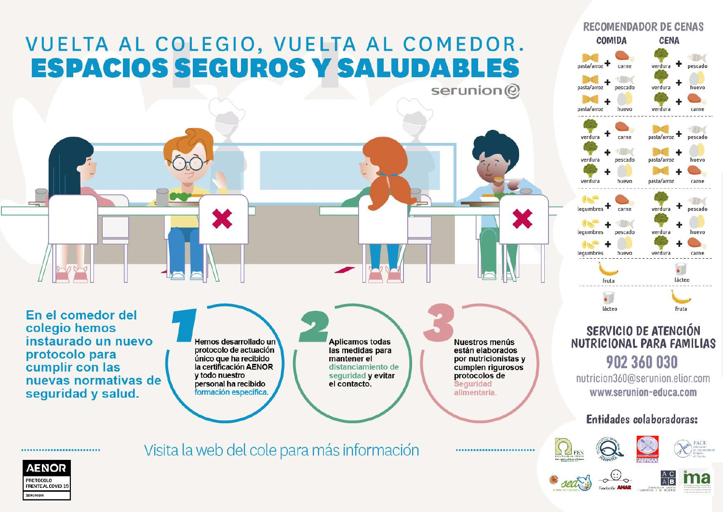